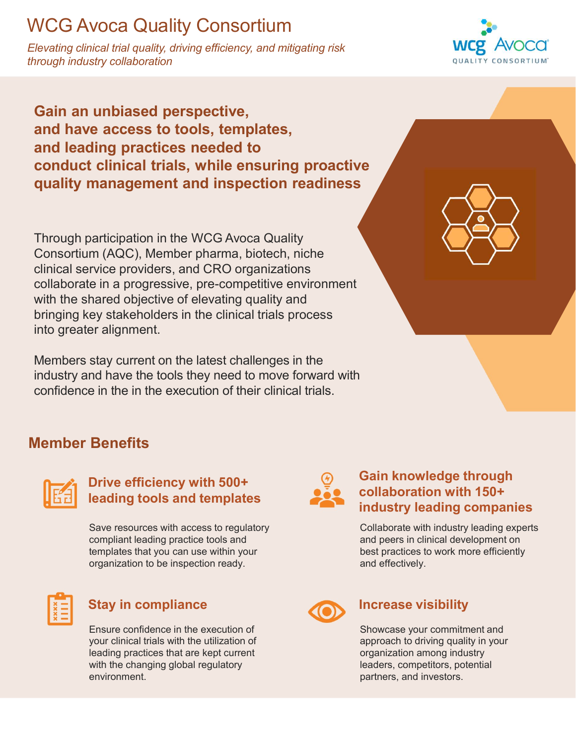# WCG Avoca Quality Consortium

Elevating clinical trial quality, driving efficiency, and mitigating risk through industry collaboration



Gain an unbiased perspective, and have access to tools, templates, and leading practices needed to conduct clinical trials, while ensuring proactive VCG Avoca Quality Consortium<br>
Vevating clinical trial quality, driving efficiency, and mitigating risk<br>
Through industry collaboration<br>
Gain an unbiased perspective,<br>
and have access to tools, templates,<br>
and leading pract

Through participation in the WCG Avoca Quality Consortium (AQC), Member pharma, biotech, niche clinical service providers, and CRO organizations collaborate in a progressive, pre-competitive environment with the shared objective of elevating quality and bringing key stakeholders in the clinical trials process into greater alignment.

Stay in compliance<br>
Stay increments the distribution of the term of their clinical trials.<br>
The execution of their clinical trials.<br>
Dirive efficiency with 500+<br> **Example 1005** and templates<br>
Severescures with a consistenc Members stay current on the latest challenges in the industry and have the tools they need to move forward with confidence in the in the execution of their clinical trials.



## Member Benefits



### Drive efficiency with 500+ leading tools and templates

Save resources with access to regulatory compliant leading practice tools and templates that you can use within your organization to be inspection ready.



Ensure confidence in the execution of your clinical trials with the utilization of leading practices that are kept current with the changing global regulatory environment.



### Gain knowledge through collaboration with 150+ industry leading companies

Collaborate with industry leading experts and peers in clinical development on best practices to work more efficiently and effectively.



Showcase your commitment and approach to driving quality in your organization among industry leaders, competitors, potential partners, and investors.